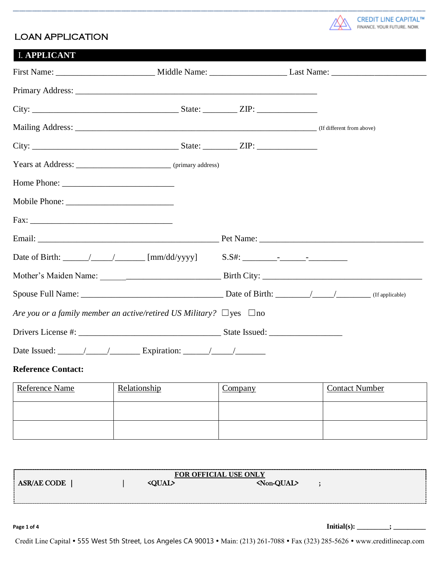

## LOAN APPLICATION

| <b>I. APPLICANT</b>                                                                                        |  |  |  |
|------------------------------------------------------------------------------------------------------------|--|--|--|
|                                                                                                            |  |  |  |
|                                                                                                            |  |  |  |
|                                                                                                            |  |  |  |
|                                                                                                            |  |  |  |
|                                                                                                            |  |  |  |
| Years at Address: ______________________________ (primary address)                                         |  |  |  |
|                                                                                                            |  |  |  |
|                                                                                                            |  |  |  |
|                                                                                                            |  |  |  |
|                                                                                                            |  |  |  |
| Date of Birth: $\_\_\_\_\_\_\_\_\_\$ [mm/dd/yyyy] $\_\_\_\_\_\_\_\_\_\_\_\_\_\_\_\_\_\_\_\_\_\_\_\_\_\_\_$ |  |  |  |
|                                                                                                            |  |  |  |
|                                                                                                            |  |  |  |
| Are you or a family member an active/retired US Military? $\Box$ yes $\Box$ no                             |  |  |  |
|                                                                                                            |  |  |  |
|                                                                                                            |  |  |  |

\_\_\_\_\_\_\_\_\_\_\_\_\_\_\_\_\_\_\_\_\_\_\_\_\_\_\_\_\_\_\_\_\_\_\_\_\_\_\_\_\_\_\_\_\_\_\_\_\_\_\_\_\_\_\_\_\_\_\_\_\_\_\_\_\_\_\_\_\_\_\_\_\_\_\_\_\_\_\_\_\_\_\_\_\_\_\_\_\_\_\_\_\_\_\_\_\_\_\_\_\_\_\_\_\_\_\_\_\_\_\_\_\_\_\_\_\_\_\_\_\_\_\_\_\_\_\_\_\_

### **Reference Contact:**

| <b>Reference Name</b> | Relationship | <b>Company</b> | <b>Contact Number</b> |
|-----------------------|--------------|----------------|-----------------------|
|                       |              |                |                       |
|                       |              |                |                       |

| FOR OFFICIAL USE ONLY |               |                                  |  |  |  |
|-----------------------|---------------|----------------------------------|--|--|--|
| <b>ASR/AE CODE</b>    | <oual></oual> | $\langle \text{Non-QUAL}\rangle$ |  |  |  |
|                       |               |                                  |  |  |  |
| -------               |               |                                  |  |  |  |
|                       |               |                                  |  |  |  |

**Page 1 of 4 Initial(s): \_\_\_\_\_\_\_\_\_; \_\_\_\_\_\_\_\_\_**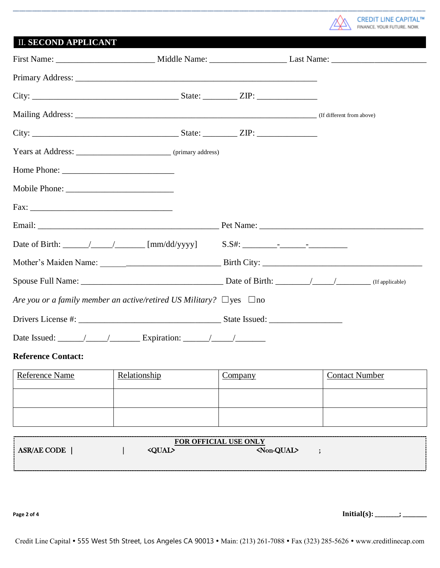

# II. **SECOND APPLICANT**

| Are you or a family member an active/retired US Military? $\Box$ yes $\Box$ no                                                     |  |  |  |
|------------------------------------------------------------------------------------------------------------------------------------|--|--|--|
|                                                                                                                                    |  |  |  |
| Date Issued: $\frac{1}{\sqrt{1-\frac{1}{2}}}\sqrt{1-\frac{1}{2}}$ Expiration: $\frac{1}{\sqrt{1-\frac{1}{2}}}\sqrt{1-\frac{1}{2}}$ |  |  |  |

\_\_\_\_\_\_\_\_\_\_\_\_\_\_\_\_\_\_\_\_\_\_\_\_\_\_\_\_\_\_\_\_\_\_\_\_\_\_\_\_\_\_\_\_\_\_\_\_\_\_\_\_\_\_\_\_\_\_\_\_\_\_\_\_\_\_\_\_\_\_\_\_\_\_\_\_\_\_\_\_\_\_\_\_\_\_\_\_\_\_\_\_\_\_\_\_\_\_\_\_\_\_\_\_\_\_\_\_\_\_\_\_\_\_\_\_\_\_\_\_\_\_\_\_\_\_\_\_\_

## **Reference Contact:**

| <b>Reference Name</b> | Relationship | <u>Company</u> | <b>Contact Number</b> |
|-----------------------|--------------|----------------|-----------------------|
|                       |              |                |                       |
|                       |              |                |                       |

| <b>OFFICIAL USE ONLY</b><br>$\neg$ OR $\alpha$                        |  |  |  |  |  |
|-----------------------------------------------------------------------|--|--|--|--|--|
| <non-qual><br/><b>ASR/AE CODE</b><br/><b><qual></qual></b></non-qual> |  |  |  |  |  |
|                                                                       |  |  |  |  |  |
|                                                                       |  |  |  |  |  |

**Page 2 of 4 Initial(s): \_\_\_\_\_\_\_\_\_; \_\_\_\_\_\_\_\_\_**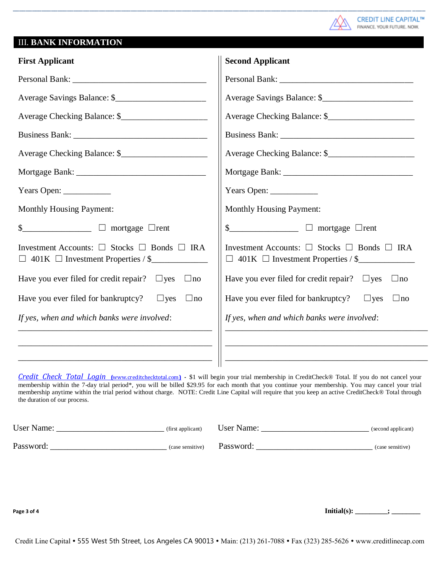

## III. **BANK INFORMATION**

| <b>First Applicant</b>                                                                                               | <b>Second Applicant</b>                                                                                              |
|----------------------------------------------------------------------------------------------------------------------|----------------------------------------------------------------------------------------------------------------------|
|                                                                                                                      |                                                                                                                      |
| Average Savings Balance: \$                                                                                          | Average Savings Balance: \$                                                                                          |
|                                                                                                                      |                                                                                                                      |
|                                                                                                                      |                                                                                                                      |
|                                                                                                                      |                                                                                                                      |
|                                                                                                                      |                                                                                                                      |
|                                                                                                                      |                                                                                                                      |
| <b>Monthly Housing Payment:</b>                                                                                      | <b>Monthly Housing Payment:</b>                                                                                      |
| $\frac{1}{2}$ mortgage $\Box$ rent                                                                                   | $\frac{1}{2}$ mortgage $\Box$ rent                                                                                   |
| Investment Accounts: $\square$ Stocks $\square$ Bonds $\square$ IRA<br>$\Box$ 401K $\Box$ Investment Properties / \$ | Investment Accounts: $\square$ Stocks $\square$ Bonds $\square$ IRA<br>$\Box$ 401K $\Box$ Investment Properties / \$ |
| Have you ever filed for credit repair? $\Box$ yes $\Box$ no                                                          | Have you ever filed for credit repair? $\Box$ yes $\Box$ no                                                          |
| Have you ever filed for bankruptcy? $\Box$ yes<br>$\Box$ no                                                          | Have you ever filed for bankruptcy? $\Box$ yes $\Box$ no                                                             |
| If yes, when and which banks were involved:                                                                          | If yes, when and which banks were involved:                                                                          |
|                                                                                                                      |                                                                                                                      |
|                                                                                                                      |                                                                                                                      |

\_\_\_\_\_\_\_\_\_\_\_\_\_\_\_\_\_\_\_\_\_\_\_\_\_\_\_\_\_\_\_\_\_\_\_\_\_\_\_\_\_\_\_\_\_\_\_\_\_\_\_\_\_\_\_\_\_\_\_\_\_\_\_\_\_\_\_\_\_\_\_\_\_\_\_\_\_\_\_\_\_\_\_\_\_\_\_\_\_\_\_\_\_\_\_\_\_\_\_\_\_\_\_\_\_\_\_\_\_\_\_\_\_\_\_\_\_\_\_\_\_\_\_\_\_\_\_\_\_

*Credit Check Total Login* **(**[www.creditchecktotal.com](http://www.creditchecktotal.com/)**) -** \$1 will begin your trial membership in CreditCheck® Total. If you do not cancel your membership within the 7-day trial period\*, you will be billed \$29.95 for each month that you continue your membership. You may cancel your trial membership anytime within the trial period without charge. NOTE: Credit Line Capital will require that you keep an active CreditCheck® Total through the duration of our process.

| <b>User Name:</b> | (first applicant)          | User Name: | (second applicant) |
|-------------------|----------------------------|------------|--------------------|
| Password:         | (case sensitive) Password: |            | (case sensitive)   |

**Page 3 of 4 Initial(s): \_\_\_\_\_\_\_\_; \_\_**